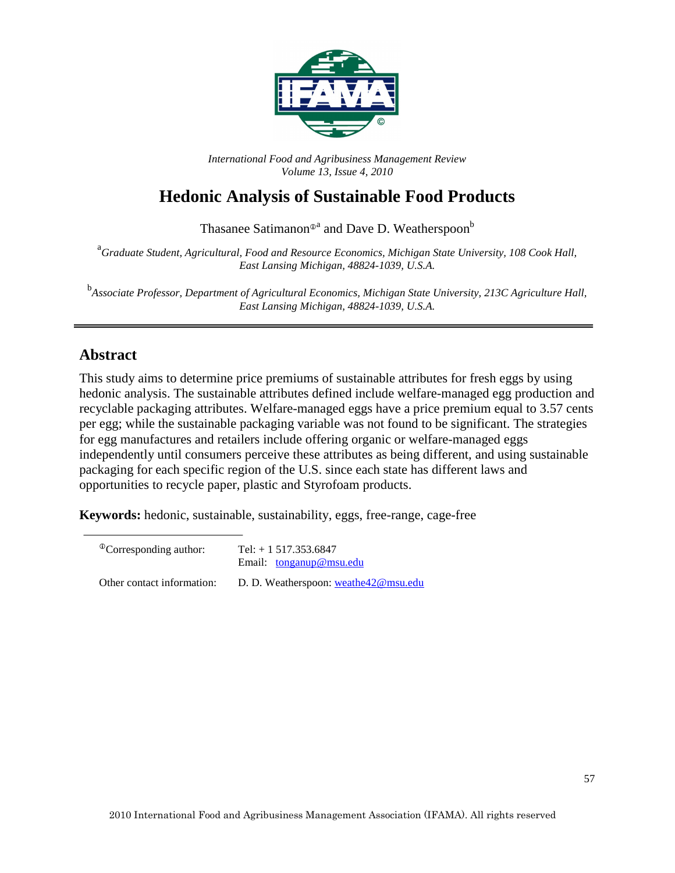

*International Food and Agribusiness Management Review Volume 13, Issue 4, 2010*

# **Hedonic Analysis of Sustainable Food Products**

Thasanee Satimanon®<sup>a</sup> and Dave D. Weatherspoon®

<sup>a</sup> Graduate Student, Agricultural, Food and Resource Economics, Michigan State University, 108 Cook Hall, *East Lansing Michigan, 48824-1039, U.S.A.* 

b *Associate Professor, Department of Agricultural Economics, Michigan State University, 213C Agriculture Hall, East Lansing Michigan, 48824-1039, U.S.A.*

### **Abstract**

This study aims to determine price premiums of sustainable attributes for fresh eggs by using hedonic analysis. The sustainable attributes defined include welfare-managed egg production and recyclable packaging attributes. Welfare-managed eggs have a price premium equal to 3.57 cents per egg; while the sustainable packaging variable was not found to be significant. The strategies for egg manufactures and retailers include offering organic or welfare-managed eggs independently until consumers perceive these attributes as being different, and using sustainable packaging for each specific region of the U.S. since each state has different laws and opportunities to recycle paper, plastic and Styrofoam products.

**Keywords:** hedonic, sustainable, sustainability, eggs, free-range, cage-free

| <sup>The</sup> Corresponding author: | Tel: $+ 1517.353.6847$<br>Email: $tonganup@msu.edu$ |
|--------------------------------------|-----------------------------------------------------|
| Other contact information:           | D. D. Weatherspoon: weathe42@msu.edu                |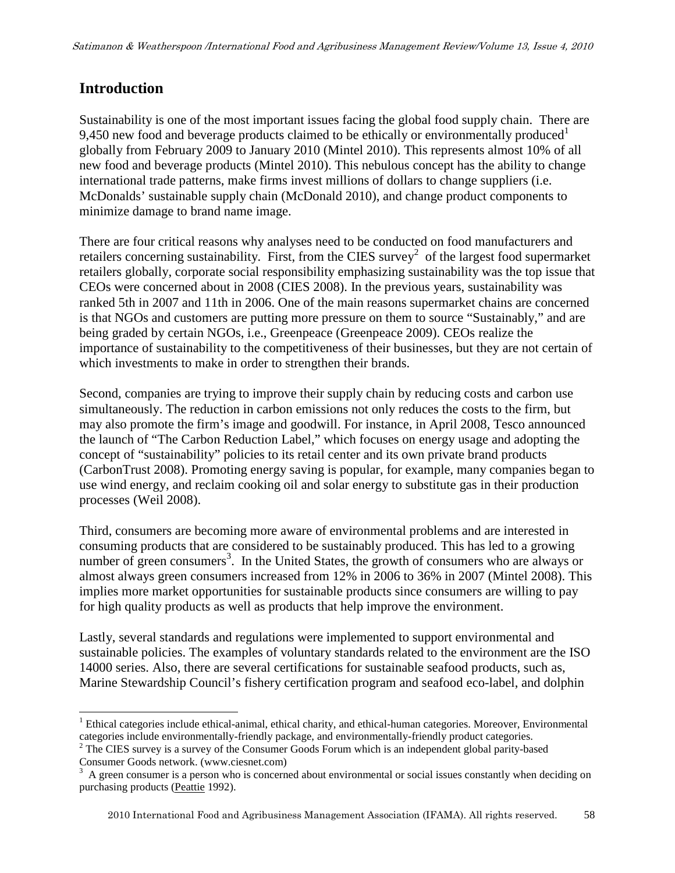### **Introduction**

Sustainability is one of the most important issues facing the global food supply chain. There are 9,450 new food and beverage products claimed to be ethically or environmentally produced<sup>1</sup> globally from February 2009 to January 2010 (Mintel 2010). This represents almost 10% of all new food and beverage products (Mintel 2010). This nebulous concept has the ability to change international trade patterns, make firms invest millions of dollars to change suppliers (i.e. McDonalds' sustainable supply chain (McDonald 2010), and change product components to minimize damage to brand name image.

There are four critical reasons why analyses need to be conducted on food manufacturers and retailers concerning sustainability. First, from the CIES survey<sup>2</sup> of the largest food supermarket retailers globally, corporate social responsibility emphasizing sustainability was the top issue that CEOs were concerned about in 2008 (CIES 2008). In the previous years, sustainability was ranked 5th in 2007 and 11th in 2006. One of the main reasons supermarket chains are concerned is that NGOs and customers are putting more pressure on them to source "Sustainably," and are being graded by certain NGOs, i.e., Greenpeace (Greenpeace 2009). CEOs realize the importance of sustainability to the competitiveness of their businesses, but they are not certain of which investments to make in order to strengthen their brands.

Second, companies are trying to improve their supply chain by reducing costs and carbon use simultaneously. The reduction in carbon emissions not only reduces the costs to the firm, but may also promote the firm's image and goodwill. For instance, in April 2008, Tesco announced the launch of "The Carbon Reduction Label," which focuses on energy usage and adopting the concept of "sustainability" policies to its retail center and its own private brand products (CarbonTrust 2008). Promoting energy saving is popular, for example, many companies began to use wind energy, and reclaim cooking oil and solar energy to substitute gas in their production processes (Weil 2008).

Third, consumers are becoming more aware of environmental problems and are interested in consuming products that are considered to be sustainably produced. This has led to a growing number of green consumers<sup>3</sup>. In the United States, the growth of consumers who are always or almost always green consumers increased from 12% in 2006 to 36% in 2007 (Mintel 2008). This implies more market opportunities for sustainable products since consumers are willing to pay for high quality products as well as products that help improve the environment.

Lastly, several standards and regulations were implemented to support environmental and sustainable policies. The examples of voluntary standards related to the environment are the ISO 14000 series. Also, there are several certifications for sustainable seafood products, such as, Marine Stewardship Council's fishery certification program and seafood eco-label, and dolphin

2010 International Food and Agribusiness Management Association (IFAMA). All rights reserved. 58

<sup>-</sup><sup>1</sup> Ethical categories include ethical-animal, ethical charity, and ethical-human categories. Moreover, Environmental categories include environmentally-friendly package, and environmentally-friendly product categories.

<sup>&</sup>lt;sup>2</sup> The CIES survey is a survey of the Consumer Goods Forum which is an independent global parity-based

Consumer Goods network. (www.ciesnet.com)<br><sup>3</sup> A green consumer is a person who is concerned about environmental or social issues constantly when deciding on purchasing products (Peattie 1992).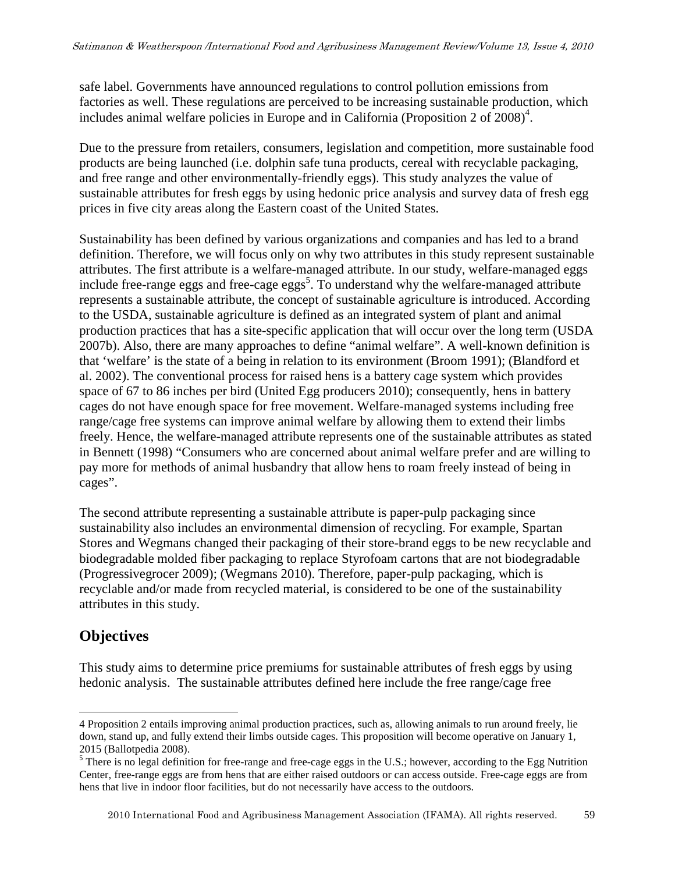safe label. Governments have announced regulations to control pollution emissions from factories as well. These regulations are perceived to be increasing sustainable production, which includes animal welfare policies in Europe and in California (Proposition 2 of  $2008$ )<sup>4</sup>.

Due to the pressure from retailers, consumers, legislation and competition, more sustainable food products are being launched (i.e. dolphin safe tuna products, cereal with recyclable packaging, and free range and other environmentally-friendly eggs). This study analyzes the value of sustainable attributes for fresh eggs by using hedonic price analysis and survey data of fresh egg prices in five city areas along the Eastern coast of the United States.

Sustainability has been defined by various organizations and companies and has led to a brand definition. Therefore, we will focus only on why two attributes in this study represent sustainable attributes. The first attribute is a welfare-managed attribute. In our study, welfare-managed eggs include free-range eggs and free-cage eggs<sup>5</sup>. To understand why the welfare-managed attribute represents a sustainable attribute, the concept of sustainable agriculture is introduced. According to the USDA, sustainable agriculture is defined as an integrated system of plant and animal production practices that has a site-specific application that will occur over the long term (USDA 2007b). Also, there are many approaches to define "animal welfare". A well-known definition is that 'welfare' is the state of a being in relation to its environment (Broom 1991); (Blandford et al. 2002). The conventional process for raised hens is a battery cage system which provides space of 67 to 86 inches per bird (United Egg producers 2010); consequently, hens in battery cages do not have enough space for free movement. Welfare-managed systems including free range/cage free systems can improve animal welfare by allowing them to extend their limbs freely. Hence, the welfare-managed attribute represents one of the sustainable attributes as stated in Bennett (1998) "Consumers who are concerned about animal welfare prefer and are willing to pay more for methods of animal husbandry that allow hens to roam freely instead of being in cages".

The second attribute representing a sustainable attribute is paper-pulp packaging since sustainability also includes an environmental dimension of recycling. For example, Spartan Stores and Wegmans changed their packaging of their store-brand eggs to be new recyclable and biodegradable molded fiber packaging to replace Styrofoam cartons that are not biodegradable (Progressivegrocer 2009); (Wegmans 2010). Therefore, paper-pulp packaging, which is recyclable and/or made from recycled material, is considered to be one of the sustainability attributes in this study.

## **Objectives**

-

This study aims to determine price premiums for sustainable attributes of fresh eggs by using hedonic analysis. The sustainable attributes defined here include the free range/cage free

<sup>4</sup> Proposition 2 entails improving animal production practices, such as, allowing animals to run around freely, lie down, stand up, and fully extend their limbs outside cages. This proposition will become operative on January 1, 2015 (Ballotpedia 2008).

 $<sup>5</sup>$  There is no legal definition for free-range and free-cage eggs in the U.S.; however, according to the Egg Nutrition</sup> Center, free-range eggs are from hens that are either raised outdoors or can access outside. Free-cage eggs are from hens that live in indoor floor facilities, but do not necessarily have access to the outdoors.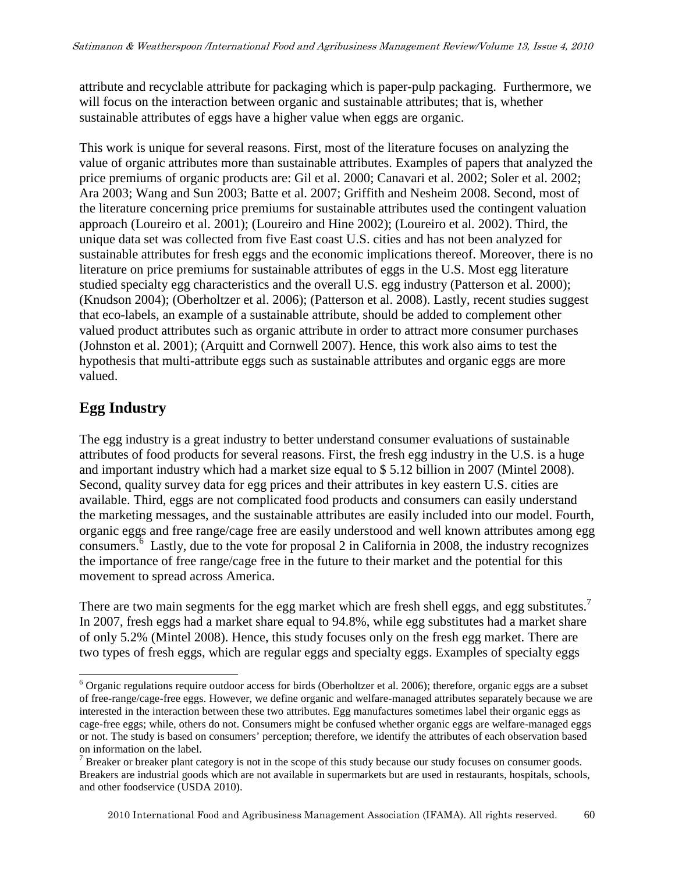attribute and recyclable attribute for packaging which is paper-pulp packaging. Furthermore, we will focus on the interaction between organic and sustainable attributes; that is, whether sustainable attributes of eggs have a higher value when eggs are organic.

This work is unique for several reasons. First, most of the literature focuses on analyzing the value of organic attributes more than sustainable attributes. Examples of papers that analyzed the price premiums of organic products are: Gil et al. 2000; Canavari et al. 2002; Soler et al. 2002; Ara 2003; Wang and Sun 2003; Batte et al. 2007; Griffith and Nesheim 2008. Second, most of the literature concerning price premiums for sustainable attributes used the contingent valuation approach (Loureiro et al. 2001); (Loureiro and Hine 2002); (Loureiro et al. 2002). Third, the unique data set was collected from five East coast U.S. cities and has not been analyzed for sustainable attributes for fresh eggs and the economic implications thereof. Moreover, there is no literature on price premiums for sustainable attributes of eggs in the U.S. Most egg literature studied specialty egg characteristics and the overall U.S. egg industry (Patterson et al. 2000); (Knudson 2004); (Oberholtzer et al. 2006); (Patterson et al. 2008). Lastly, recent studies suggest that eco-labels, an example of a sustainable attribute, should be added to complement other valued product attributes such as organic attribute in order to attract more consumer purchases (Johnston et al. 2001); (Arquitt and Cornwell 2007). Hence, this work also aims to test the hypothesis that multi-attribute eggs such as sustainable attributes and organic eggs are more valued.

## **Egg Industry**

-

The egg industry is a great industry to better understand consumer evaluations of sustainable attributes of food products for several reasons. First, the fresh egg industry in the U.S. is a huge and important industry which had a market size equal to \$ 5.12 billion in 2007 (Mintel 2008). Second, quality survey data for egg prices and their attributes in key eastern U.S. cities are available. Third, eggs are not complicated food products and consumers can easily understand the marketing messages, and the sustainable attributes are easily included into our model. Fourth, organic eggs and free range/cage free are easily understood and well known attributes among egg consumers. 6 Lastly, due to the vote for proposal 2 in California in 2008, the industry recognizes the importance of free range/cage free in the future to their market and the potential for this movement to spread across America.

There are two main segments for the egg market which are fresh shell eggs, and egg substitutes.<sup>7</sup> In 2007, fresh eggs had a market share equal to 94.8%, while egg substitutes had a market share of only 5.2% (Mintel 2008). Hence, this study focuses only on the fresh egg market. There are two types of fresh eggs, which are regular eggs and specialty eggs. Examples of specialty eggs

<sup>&</sup>lt;sup>6</sup> Organic regulations require outdoor access for birds (Oberholtzer et al. 2006); therefore, organic eggs are a subset of free-range/cage-free eggs. However, we define organic and welfare-managed attributes separately because we are interested in the interaction between these two attributes. Egg manufactures sometimes label their organic eggs as cage-free eggs; while, others do not. Consumers might be confused whether organic eggs are welfare-managed eggs or not. The study is based on consumers' perception; therefore, we identify the attributes of each observation based on information on the label.

 $<sup>7</sup>$  Breaker or breaker plant category is not in the scope of this study because our study focuses on consumer goods.</sup> Breakers are industrial goods which are not available in supermarkets but are used in restaurants, hospitals, schools, and other foodservice (USDA 2010).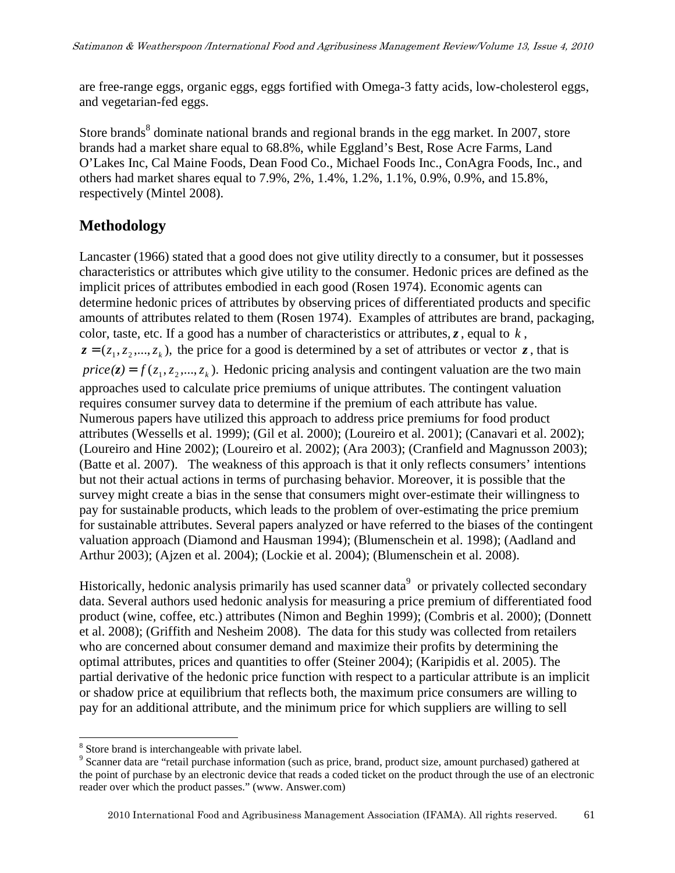are free-range eggs, organic eggs, eggs fortified with Omega-3 fatty acids, low-cholesterol eggs, and vegetarian-fed eggs.

Store brands<sup>8</sup> dominate national brands and regional brands in the egg market. In 2007, store brands had a market share equal to 68.8%, while Eggland's Best, Rose Acre Farms, Land O'Lakes Inc, Cal Maine Foods, Dean Food Co., Michael Foods Inc., ConAgra Foods, Inc., and others had market shares equal to 7.9%, 2%, 1.4%, 1.2%, 1.1%, 0.9%, 0.9%, and 15.8%, respectively (Mintel 2008).

### **Methodology**

Lancaster (1966) stated that a good does not give utility directly to a consumer, but it possesses characteristics or attributes which give utility to the consumer. Hedonic prices are defined as the implicit prices of attributes embodied in each good (Rosen 1974). Economic agents can determine hedonic prices of attributes by observing prices of differentiated products and specific amounts of attributes related to them (Rosen 1974). Examples of attributes are brand, packaging, color, taste, etc. If a good has a number of characteristics or attributes,*z*, equal to *k* ,  $z = (z_1, z_2, \dots, z_k)$ , the price for a good is determined by a set of attributes or vector  $z$ , that is  $price(z) = f(z_1, z_2, ..., z_k)$ . Hedonic pricing analysis and contingent valuation are the two main approaches used to calculate price premiums of unique attributes. The contingent valuation requires consumer survey data to determine if the premium of each attribute has value. Numerous papers have utilized this approach to address price premiums for food product attributes (Wessells et al. 1999); (Gil et al. 2000); (Loureiro et al. 2001); (Canavari et al. 2002); (Loureiro and Hine 2002); (Loureiro et al. 2002); (Ara 2003); (Cranfield and Magnusson 2003); (Batte et al. 2007). The weakness of this approach is that it only reflects consumers' intentions but not their actual actions in terms of purchasing behavior. Moreover, it is possible that the survey might create a bias in the sense that consumers might over-estimate their willingness to pay for sustainable products, which leads to the problem of over-estimating the price premium for sustainable attributes. Several papers analyzed or have referred to the biases of the contingent valuation approach (Diamond and Hausman 1994); (Blumenschein et al. 1998); (Aadland and Arthur 2003); (Ajzen et al. 2004); (Lockie et al. 2004); (Blumenschein et al. 2008).

Historically, hedonic analysis primarily has used scanner data<sup>9</sup> or privately collected secondary data. Several authors used hedonic analysis for measuring a price premium of differentiated food product (wine, coffee, etc.) attributes (Nimon and Beghin 1999); (Combris et al. 2000); (Donnett et al. 2008); (Griffith and Nesheim 2008). The data for this study was collected from retailers who are concerned about consumer demand and maximize their profits by determining the optimal attributes, prices and quantities to offer (Steiner 2004); (Karipidis et al. 2005). The partial derivative of the hedonic price function with respect to a particular attribute is an implicit or shadow price at equilibrium that reflects both, the maximum price consumers are willing to pay for an additional attribute, and the minimum price for which suppliers are willing to sell

<sup>1</sup> <sup>8</sup> Store brand is interchangeable with private label.

<sup>&</sup>lt;sup>9</sup> Scanner data are "retail purchase information (such as price, brand, product size, amount purchased) gathered at the point of purchase by an electronic device that reads a coded ticket on the product through the use of an electronic reader over which the product passes." (www. Answer.com)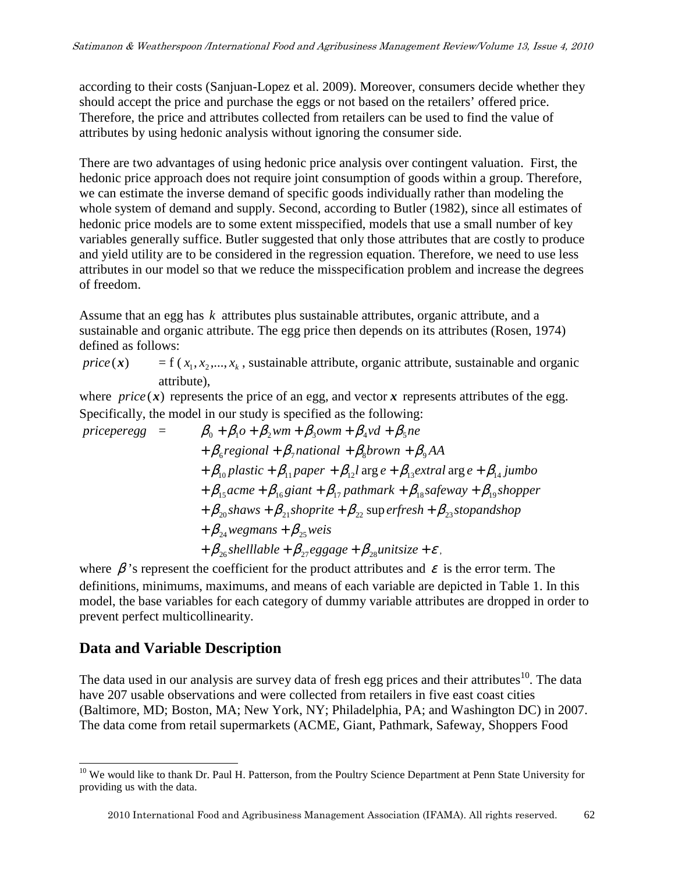according to their costs (Sanjuan-Lopez et al. 2009). Moreover, consumers decide whether they should accept the price and purchase the eggs or not based on the retailers' offered price. Therefore, the price and attributes collected from retailers can be used to find the value of attributes by using hedonic analysis without ignoring the consumer side.

There are two advantages of using hedonic price analysis over contingent valuation. First, the hedonic price approach does not require joint consumption of goods within a group. Therefore, we can estimate the inverse demand of specific goods individually rather than modeling the whole system of demand and supply. Second, according to Butler (1982), since all estimates of hedonic price models are to some extent misspecified, models that use a small number of key variables generally suffice. Butler suggested that only those attributes that are costly to produce and yield utility are to be considered in the regression equation. Therefore, we need to use less attributes in our model so that we reduce the misspecification problem and increase the degrees of freedom.

Assume that an egg has *k* attributes plus sustainable attributes, organic attribute, and a sustainable and organic attribute. The egg price then depends on its attributes (Rosen, 1974) defined as follows:

 $price(x) = f(x_1, x_2, ..., x_k)$ , sustainable attribute, organic attribute, sustainable and organic attribute),

where  $price(x)$  represents the price of an egg, and vector x represents attributes of the egg. Specifically, the model in our study is specified as the following:

$$
priceperegg = \beta_0 + \beta_1 o + \beta_2 wm + \beta_3 owm + \beta_4 v d + \beta_5 ne
$$
  
+  $\beta_6$  regional +  $\beta_7$  national +  $\beta_8$  brown +  $\beta_9$  AA  
+  $\beta_{10}$  plastic +  $\beta_{11}$  paper +  $\beta_{12}$  large e +  $\beta_{13}$  extral arg e +  $\beta_{14}$  jumbo  
+  $\beta_{15}$  acme +  $\beta_{16}$  giant +  $\beta_{17}$  pathway +  $\beta_{18}$  safety +  $\beta_{19}$  shopper  
+  $\beta_{20}$  shows +  $\beta_{21}$  shoprite +  $\beta_{22}$  superfresh +  $\beta_{23}$  stopandshop  
+  $\beta_{24}$ wegmans +  $\beta_{25}$ weis  
+  $\beta_{26}$  shelllabel +  $\beta_{27}$ eggage +  $\beta_{28}$  unitsize +  $\varepsilon$ .

where  $\beta$ 's represent the coefficient for the product attributes and  $\varepsilon$  is the error term. The definitions, minimums, maximums, and means of each variable are depicted in Table 1. In this model, the base variables for each category of dummy variable attributes are dropped in order to prevent perfect multicollinearity.

### **Data and Variable Description**

The data used in our analysis are survey data of fresh egg prices and their attributes<sup>10</sup>. The data have 207 usable observations and were collected from retailers in five east coast cities (Baltimore, MD; Boston, MA; New York, NY; Philadelphia, PA; and Washington DC) in 2007. The data come from retail supermarkets (ACME, Giant, Pathmark, Safeway, Shoppers Food

<sup>-</sup><sup>10</sup> We would like to thank Dr. Paul H. Patterson, from the Poultry Science Department at Penn State University for providing us with the data.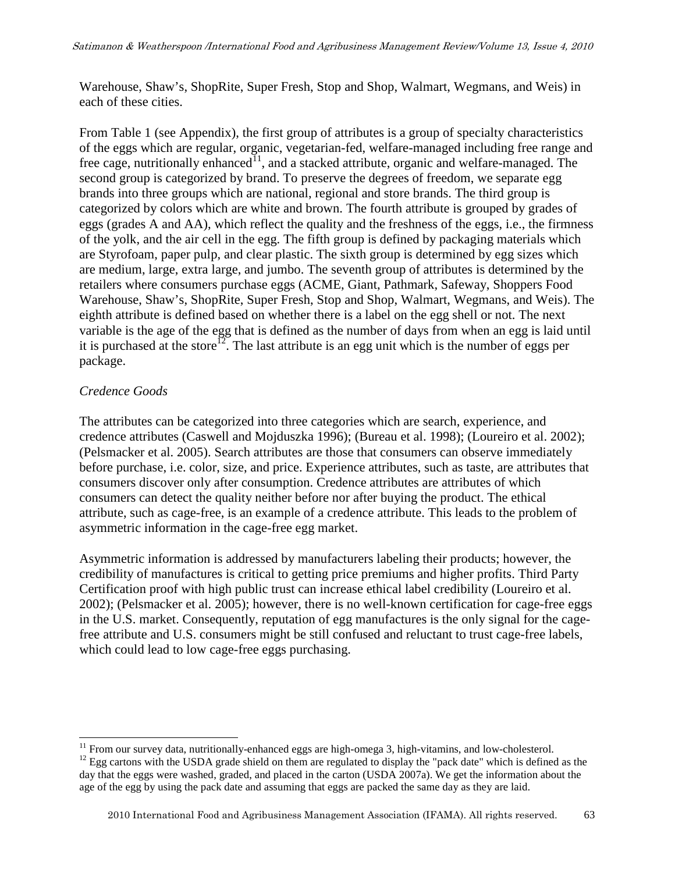Warehouse, Shaw's, ShopRite, Super Fresh, Stop and Shop, Walmart, Wegmans, and Weis) in each of these cities.

From Table 1 (see Appendix), the first group of attributes is a group of specialty characteristics of the eggs which are regular, organic, vegetarian-fed, welfare-managed including free range and free cage, nutritionally enhanced<sup>11</sup>, and a stacked attribute, organic and welfare-managed. The second group is categorized by brand. To preserve the degrees of freedom, we separate egg brands into three groups which are national, regional and store brands. The third group is categorized by colors which are white and brown. The fourth attribute is grouped by grades of eggs (grades A and AA), which reflect the quality and the freshness of the eggs, i.e., the firmness of the yolk, and the air cell in the egg. The fifth group is defined by packaging materials which are Styrofoam, paper pulp, and clear plastic. The sixth group is determined by egg sizes which are medium, large, extra large, and jumbo. The seventh group of attributes is determined by the retailers where consumers purchase eggs (ACME, Giant, Pathmark, Safeway, Shoppers Food Warehouse, Shaw's, ShopRite, Super Fresh, Stop and Shop, Walmart, Wegmans, and Weis). The eighth attribute is defined based on whether there is a label on the egg shell or not. The next variable is the age of the egg that is defined as the number of days from when an egg is laid until it is purchased at the store<sup>12</sup>. The last attribute is an egg unit which is the number of eggs per package.

#### *Credence Goods*

1

The attributes can be categorized into three categories which are search, experience, and credence attributes (Caswell and Mojduszka 1996); (Bureau et al. 1998); (Loureiro et al. 2002); (Pelsmacker et al. 2005). Search attributes are those that consumers can observe immediately before purchase, i.e. color, size, and price. Experience attributes, such as taste, are attributes that consumers discover only after consumption. Credence attributes are attributes of which consumers can detect the quality neither before nor after buying the product. The ethical attribute, such as cage-free, is an example of a credence attribute. This leads to the problem of asymmetric information in the cage-free egg market.

Asymmetric information is addressed by manufacturers labeling their products; however, the credibility of manufactures is critical to getting price premiums and higher profits. Third Party Certification proof with high public trust can increase ethical label credibility (Loureiro et al. 2002); (Pelsmacker et al. 2005); however, there is no well-known certification for cage-free eggs in the U.S. market. Consequently, reputation of egg manufactures is the only signal for the cagefree attribute and U.S. consumers might be still confused and reluctant to trust cage-free labels, which could lead to low cage-free eggs purchasing.

 $11$  From our survey data, nutritionally-enhanced eggs are high-omega 3, high-vitamins, and low-cholesterol.

 $12$  Egg cartons with the USDA grade shield on them are regulated to display the "pack date" which is defined as the day that the eggs were washed, graded, and placed in the carton (USDA 2007a). We get the information about the age of the egg by using the pack date and assuming that eggs are packed the same day as they are laid.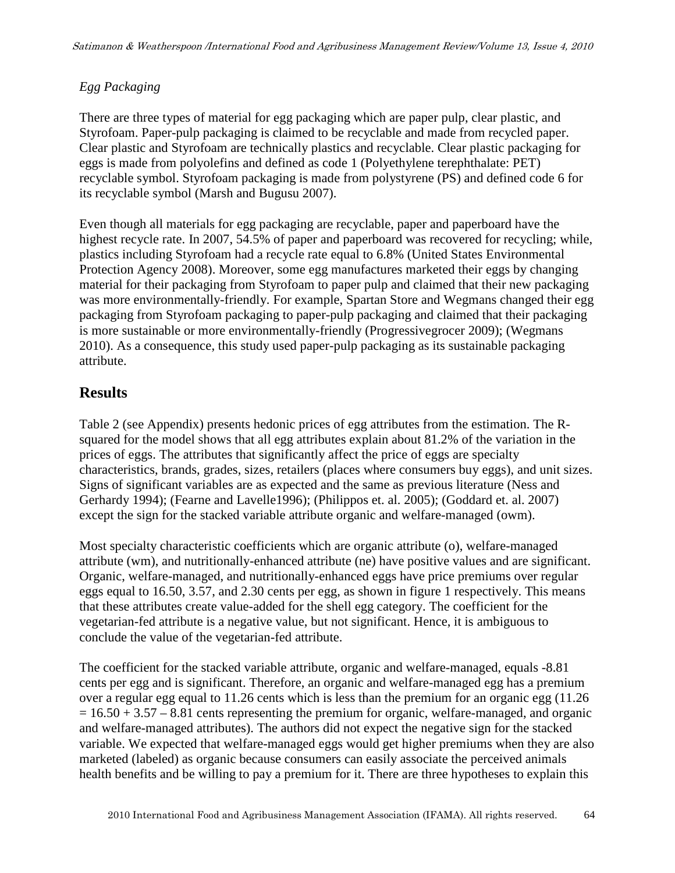#### *Egg Packaging*

There are three types of material for egg packaging which are paper pulp, clear plastic, and Styrofoam. Paper-pulp packaging is claimed to be recyclable and made from recycled paper. Clear plastic and Styrofoam are technically plastics and recyclable. Clear plastic packaging for eggs is made from polyolefins and defined as code 1 (Polyethylene terephthalate: PET) recyclable symbol. Styrofoam packaging is made from polystyrene (PS) and defined code 6 for its recyclable symbol (Marsh and Bugusu 2007).

Even though all materials for egg packaging are recyclable, paper and paperboard have the highest recycle rate. In 2007, 54.5% of paper and paperboard was recovered for recycling; while, plastics including Styrofoam had a recycle rate equal to 6.8% (United States Environmental Protection Agency 2008). Moreover, some egg manufactures marketed their eggs by changing material for their packaging from Styrofoam to paper pulp and claimed that their new packaging was more environmentally-friendly. For example, Spartan Store and Wegmans changed their egg packaging from Styrofoam packaging to paper-pulp packaging and claimed that their packaging is more sustainable or more environmentally-friendly (Progressivegrocer 2009); (Wegmans 2010). As a consequence, this study used paper-pulp packaging as its sustainable packaging attribute.

### **Results**

Table 2 (see Appendix) presents hedonic prices of egg attributes from the estimation. The Rsquared for the model shows that all egg attributes explain about 81.2% of the variation in the prices of eggs. The attributes that significantly affect the price of eggs are specialty characteristics, brands, grades, sizes, retailers (places where consumers buy eggs), and unit sizes. Signs of significant variables are as expected and the same as previous literature (Ness and Gerhardy 1994); (Fearne and Lavelle1996); (Philippos et. al. 2005); (Goddard et. al. 2007) except the sign for the stacked variable attribute organic and welfare-managed (owm).

Most specialty characteristic coefficients which are organic attribute (o), welfare-managed attribute (wm), and nutritionally-enhanced attribute (ne) have positive values and are significant. Organic, welfare-managed, and nutritionally-enhanced eggs have price premiums over regular eggs equal to 16.50, 3.57, and 2.30 cents per egg, as shown in figure 1 respectively. This means that these attributes create value-added for the shell egg category. The coefficient for the vegetarian-fed attribute is a negative value, but not significant. Hence, it is ambiguous to conclude the value of the vegetarian-fed attribute.

The coefficient for the stacked variable attribute, organic and welfare-managed, equals -8.81 cents per egg and is significant. Therefore, an organic and welfare-managed egg has a premium over a regular egg equal to 11.26 cents which is less than the premium for an organic egg (11.26  $= 16.50 + 3.57 - 8.81$  cents representing the premium for organic, welfare-managed, and organic and welfare-managed attributes). The authors did not expect the negative sign for the stacked variable. We expected that welfare-managed eggs would get higher premiums when they are also marketed (labeled) as organic because consumers can easily associate the perceived animals health benefits and be willing to pay a premium for it. There are three hypotheses to explain this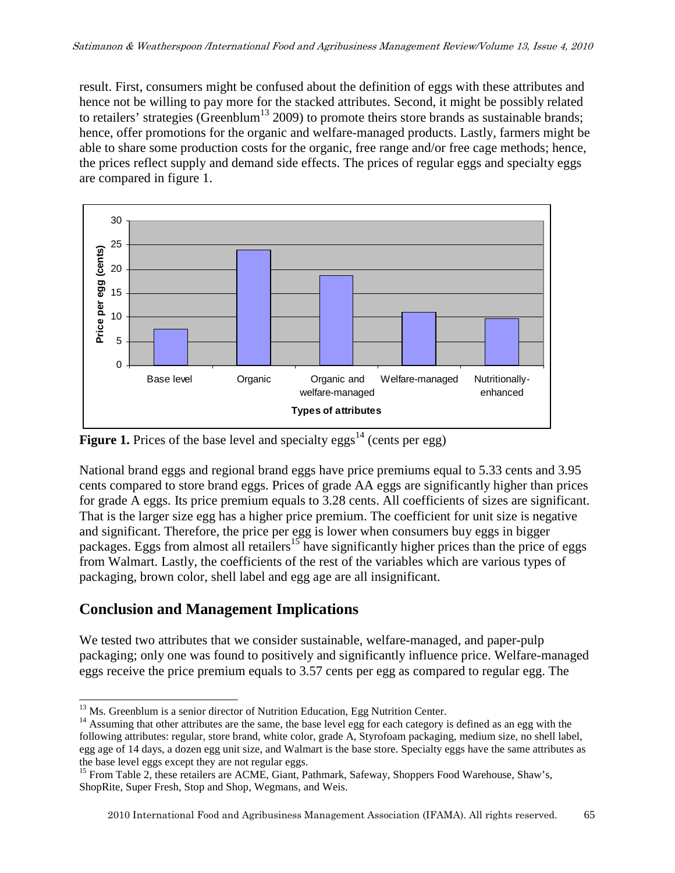result. First, consumers might be confused about the definition of eggs with these attributes and hence not be willing to pay more for the stacked attributes. Second, it might be possibly related to retailers' strategies (Greenblum<sup>13</sup> 2009) to promote theirs store brands as sustainable brands; hence, offer promotions for the organic and welfare-managed products. Lastly, farmers might be able to share some production costs for the organic, free range and/or free cage methods; hence, the prices reflect supply and demand side effects. The prices of regular eggs and specialty eggs are compared in figure 1.



**Figure 1.** Prices of the base level and specialty eggs<sup>14</sup> (cents per egg)

National brand eggs and regional brand eggs have price premiums equal to 5.33 cents and 3.95 cents compared to store brand eggs. Prices of grade AA eggs are significantly higher than prices for grade A eggs. Its price premium equals to 3.28 cents. All coefficients of sizes are significant. That is the larger size egg has a higher price premium. The coefficient for unit size is negative and significant. Therefore, the price per egg is lower when consumers buy eggs in bigger packages. Eggs from almost all retailers<sup>15</sup> have significantly higher prices than the price of eggs from Walmart. Lastly, the coefficients of the rest of the variables which are various types of packaging, brown color, shell label and egg age are all insignificant.

### **Conclusion and Management Implications**

We tested two attributes that we consider sustainable, welfare-managed, and paper-pulp packaging; only one was found to positively and significantly influence price. Welfare-managed eggs receive the price premium equals to 3.57 cents per egg as compared to regular egg. The

<sup>-</sup> $13$  Ms. Greenblum is a senior director of Nutrition Education, Egg Nutrition Center.

<sup>&</sup>lt;sup>14</sup> Assuming that other attributes are the same, the base level egg for each category is defined as an egg with the following attributes: regular, store brand, white color, grade A, Styrofoam packaging, medium size, no shell label, egg age of 14 days, a dozen egg unit size, and Walmart is the base store. Specialty eggs have the same attributes as the base level eggs except they are not regular eggs.

<sup>&</sup>lt;sup>15</sup> From Table 2, these retailers are ACME, Giant, Pathmark, Safeway, Shoppers Food Warehouse, Shaw's, ShopRite, Super Fresh, Stop and Shop, Wegmans, and Weis.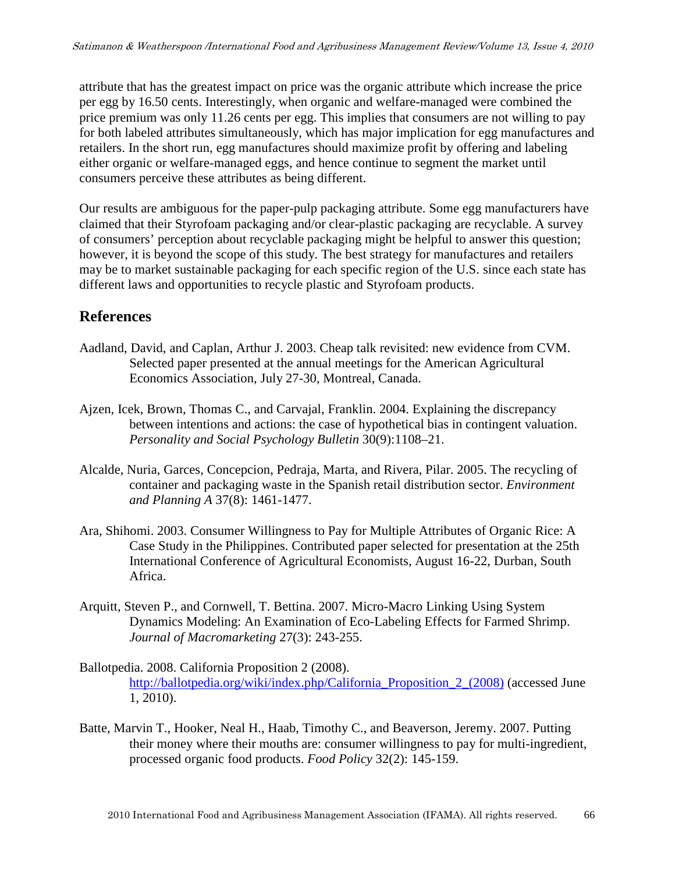attribute that has the greatest impact on price was the organic attribute which increase the price per egg by 16.50 cents. Interestingly, when organic and welfare-managed were combined the price premium was only 11.26 cents per egg. This implies that consumers are not willing to pay for both labeled attributes simultaneously, which has major implication for egg manufactures and retailers. In the short run, egg manufactures should maximize profit by offering and labeling either organic or welfare-managed eggs, and hence continue to segment the market until consumers perceive these attributes as being different.

Our results are ambiguous for the paper-pulp packaging attribute. Some egg manufacturers have claimed that their Styrofoam packaging and/or clear-plastic packaging are recyclable. A survey of consumers' perception about recyclable packaging might be helpful to answer this question; however, it is beyond the scope of this study. The best strategy for manufactures and retailers may be to market sustainable packaging for each specific region of the U.S. since each state has different laws and opportunities to recycle plastic and Styrofoam products.

### **References**

- Aadland, David, and Caplan, Arthur J. 2003. Cheap talk revisited: new evidence from CVM. Selected paper presented at the annual meetings for the American Agricultural Economics Association, July 27-30, Montreal, Canada.
- Ajzen, Icek, Brown, Thomas C., and Carvajal, Franklin. 2004. Explaining the discrepancy between intentions and actions: the case of hypothetical bias in contingent valuation. *Personality and Social Psychology Bulletin* 30(9):1108–21.
- Alcalde, Nuria, Garces, Concepcion, Pedraja, Marta, and Rivera, Pilar. 2005. The recycling of container and packaging waste in the Spanish retail distribution sector. *Environment and Planning A* 37(8): 1461-1477.
- Ara, Shihomi. 2003. Consumer Willingness to Pay for Multiple Attributes of Organic Rice: A Case Study in the Philippines. Contributed paper selected for presentation at the 25th International Conference of Agricultural Economists, August 16-22, Durban, South Africa.
- Arquitt, Steven P., and Cornwell, T. Bettina. 2007. Micro-Macro Linking Using System Dynamics Modeling: An Examination of Eco-Labeling Effects for Farmed Shrimp. *Journal of Macromarketing* 27(3): 243-255.
- Ballotpedia. 2008. California Proposition 2 (2008). http://ballotpedia.org/wiki/index.php/California\_Proposition\_2\_(2008) (accessed June 1, 2010).
- Batte, Marvin T., Hooker, Neal H., Haab, Timothy C., and Beaverson, Jeremy. 2007. Putting their money where their mouths are: consumer willingness to pay for multi-ingredient, processed organic food products. *Food Policy* 32(2): 145-159.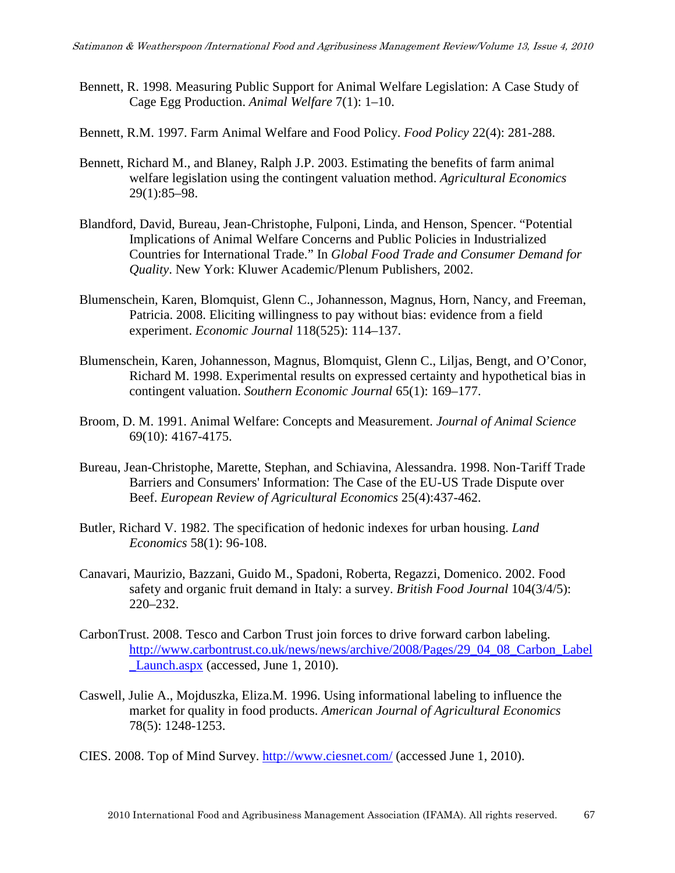- Bennett, R. 1998. Measuring Public Support for Animal Welfare Legislation: A Case Study of Cage Egg Production. *Animal Welfare* 7(1): 1–10.
- Bennett, R.M. 1997. Farm Animal Welfare and Food Policy. *Food Policy* 22(4): 281-288.
- Bennett, Richard M., and Blaney, Ralph J.P. 2003. Estimating the benefits of farm animal welfare legislation using the contingent valuation method. *Agricultural Economics* 29(1):85–98.
- Blandford, David, Bureau, Jean-Christophe, Fulponi, Linda, and Henson, Spencer. "Potential Implications of Animal Welfare Concerns and Public Policies in Industrialized Countries for International Trade." In *Global Food Trade and Consumer Demand for Quality*. New York: Kluwer Academic/Plenum Publishers, 2002.
- Blumenschein, Karen, Blomquist, Glenn C., Johannesson, Magnus, Horn, Nancy, and Freeman, Patricia. 2008. Eliciting willingness to pay without bias: evidence from a field experiment. *Economic Journal* 118(525): 114–137.
- Blumenschein, Karen, Johannesson, Magnus, Blomquist, Glenn C., Liljas, Bengt, and O'Conor, Richard M. 1998. Experimental results on expressed certainty and hypothetical bias in contingent valuation. *Southern Economic Journal* 65(1): 169–177.
- Broom, D. M. 1991. Animal Welfare: Concepts and Measurement. *Journal of Animal Science* 69(10): 4167-4175.
- Bureau, Jean-Christophe, Marette, Stephan, and Schiavina, Alessandra. 1998. Non-Tariff Trade Barriers and Consumers' Information: The Case of the EU-US Trade Dispute over Beef. *European Review of Agricultural Economics* 25(4):437-462.
- Butler, Richard V. 1982. The specification of hedonic indexes for urban housing. *Land Economics* 58(1): 96-108.
- Canavari, Maurizio, Bazzani, Guido M., Spadoni, Roberta, Regazzi, Domenico. 2002. Food safety and organic fruit demand in Italy: a survey. *British Food Journal* 104(3/4/5): 220–232.
- CarbonTrust. 2008. Tesco and Carbon Trust join forces to drive forward carbon labeling. http://www.carbontrust.co.uk/news/news/archive/2008/Pages/29\_04\_08\_Carbon\_Label \_Launch.aspx (accessed, June 1, 2010).
- Caswell, Julie A., Mojduszka, Eliza.M. 1996. Using informational labeling to influence the market for quality in food products. *American Journal of Agricultural Economics* 78(5): 1248-1253.
- CIES. 2008. Top of Mind Survey. http://www.ciesnet.com/ (accessed June 1, 2010).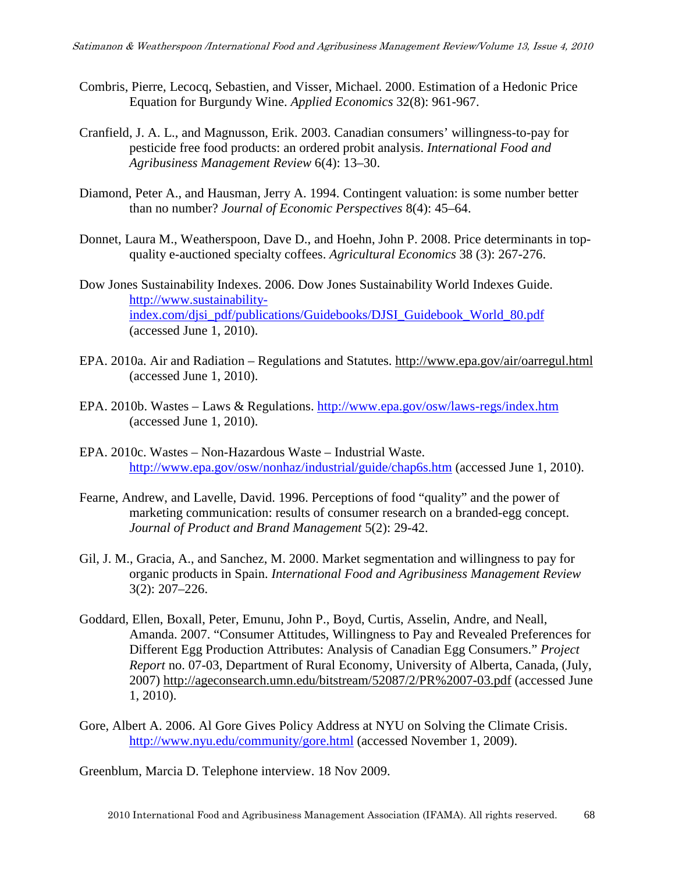- Combris, Pierre, Lecocq, Sebastien, and Visser, Michael. 2000. Estimation of a Hedonic Price Equation for Burgundy Wine. *Applied Economics* 32(8): 961-967.
- Cranfield, J. A. L., and Magnusson, Erik. 2003. Canadian consumers' willingness-to-pay for pesticide free food products: an ordered probit analysis. *International Food and Agribusiness Management Review* 6(4): 13–30.
- Diamond, Peter A., and Hausman, Jerry A. 1994. Contingent valuation: is some number better than no number? *Journal of Economic Perspectives* 8(4): 45–64.
- Donnet, Laura M., Weatherspoon, Dave D., and Hoehn, John P. 2008. Price determinants in topquality e-auctioned specialty coffees. *Agricultural Economics* 38 (3): 267-276.
- Dow Jones Sustainability Indexes. 2006. Dow Jones Sustainability World Indexes Guide. http://www.sustainabilityindex.com/djsi\_pdf/publications/Guidebooks/DJSI\_Guidebook\_World\_80.pdf (accessed June 1, 2010).
- EPA. 2010a. Air and Radiation Regulations and Statutes. http://www.epa.gov/air/oarregul.html (accessed June 1, 2010).
- EPA. 2010b. Wastes Laws & Regulations. http://www.epa.gov/osw/laws-regs/index.htm (accessed June 1, 2010).
- EPA. 2010c. Wastes Non-Hazardous Waste Industrial Waste. http://www.epa.gov/osw/nonhaz/industrial/guide/chap6s.htm (accessed June 1, 2010).
- Fearne, Andrew, and Lavelle, David. 1996. Perceptions of food "quality" and the power of marketing communication: results of consumer research on a branded-egg concept. *Journal of Product and Brand Management* 5(2): 29-42.
- Gil, J. M., Gracia, A., and Sanchez, M. 2000. Market segmentation and willingness to pay for organic products in Spain. *International Food and Agribusiness Management Review* 3(2): 207–226.
- Goddard, Ellen, Boxall, Peter, Emunu, John P., Boyd, Curtis, Asselin, Andre, and Neall, Amanda. 2007. "Consumer Attitudes, Willingness to Pay and Revealed Preferences for Different Egg Production Attributes: Analysis of Canadian Egg Consumers." *Project Report* no. 07-03, Department of Rural Economy, University of Alberta, Canada, (July, 2007) http://ageconsearch.umn.edu/bitstream/52087/2/PR%2007-03.pdf (accessed June 1, 2010).
- Gore, Albert A. 2006. Al Gore Gives Policy Address at NYU on Solving the Climate Crisis. http://www.nyu.edu/community/gore.html (accessed November 1, 2009).

Greenblum, Marcia D. Telephone interview. 18 Nov 2009.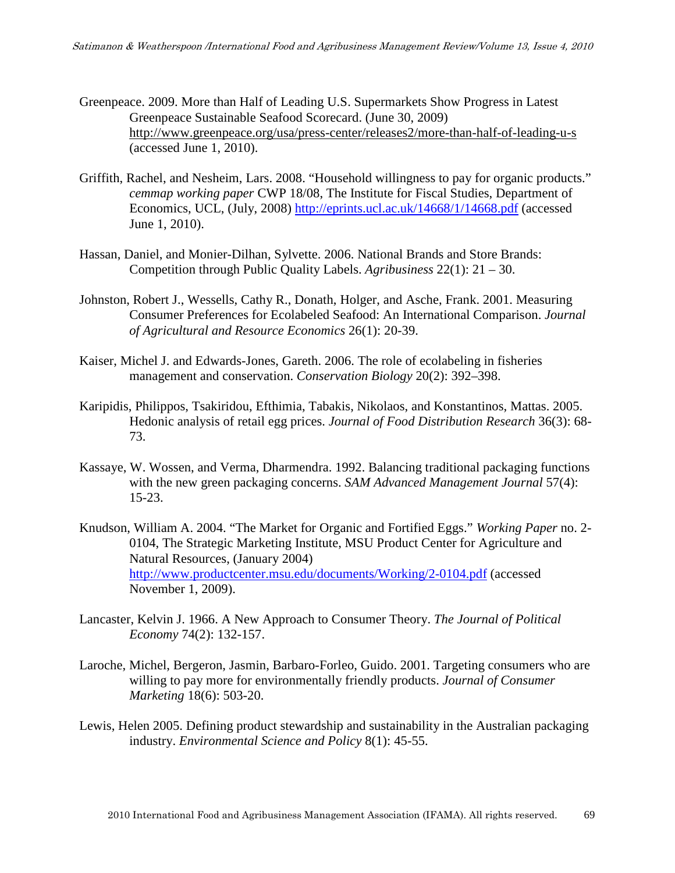- Greenpeace. 2009. More than Half of Leading U.S. Supermarkets Show Progress in Latest Greenpeace Sustainable Seafood Scorecard. (June 30, 2009) http://www.greenpeace.org/usa/press-center/releases2/more-than-half-of-leading-u-s (accessed June 1, 2010).
- Griffith, Rachel, and Nesheim, Lars. 2008. "Household willingness to pay for organic products." *cemmap working paper* CWP 18/08, The Institute for Fiscal Studies, Department of Economics, UCL, (July, 2008) http://eprints.ucl.ac.uk/14668/1/14668.pdf (accessed June 1, 2010).
- Hassan, Daniel, and Monier-Dilhan, Sylvette. 2006. National Brands and Store Brands: Competition through Public Quality Labels. *Agribusiness* 22(1): 21 – 30.
- Johnston, Robert J., Wessells, Cathy R., Donath, Holger, and Asche, Frank. 2001. Measuring Consumer Preferences for Ecolabeled Seafood: An International Comparison. *Journal of Agricultural and Resource Economics* 26(1): 20-39.
- Kaiser, Michel J. and Edwards-Jones, Gareth. 2006. The role of ecolabeling in fisheries management and conservation. *Conservation Biology* 20(2): 392–398.
- Karipidis, Philippos, Tsakiridou, Efthimia, Tabakis, Nikolaos, and Konstantinos, Mattas. 2005. Hedonic analysis of retail egg prices. *Journal of Food Distribution Research* 36(3): 68- 73.
- Kassaye, W. Wossen, and Verma, Dharmendra. 1992. Balancing traditional packaging functions with the new green packaging concerns. *SAM Advanced Management Journal* 57(4): 15-23.
- Knudson, William A. 2004. "The Market for Organic and Fortified Eggs." *Working Paper* no. 2- 0104, The Strategic Marketing Institute, MSU Product Center for Agriculture and Natural Resources, (January 2004) http://www.productcenter.msu.edu/documents/Working/2-0104.pdf (accessed November 1, 2009).
- Lancaster, Kelvin J. 1966. A New Approach to Consumer Theory. *The Journal of Political Economy* 74(2): 132-157.
- Laroche, Michel, Bergeron, Jasmin, Barbaro-Forleo, Guido. 2001. Targeting consumers who are willing to pay more for environmentally friendly products. *Journal of Consumer Marketing* 18(6): 503-20.
- Lewis, Helen 2005. Defining product stewardship and sustainability in the Australian packaging industry. *Environmental Science and Policy* 8(1): 45-55.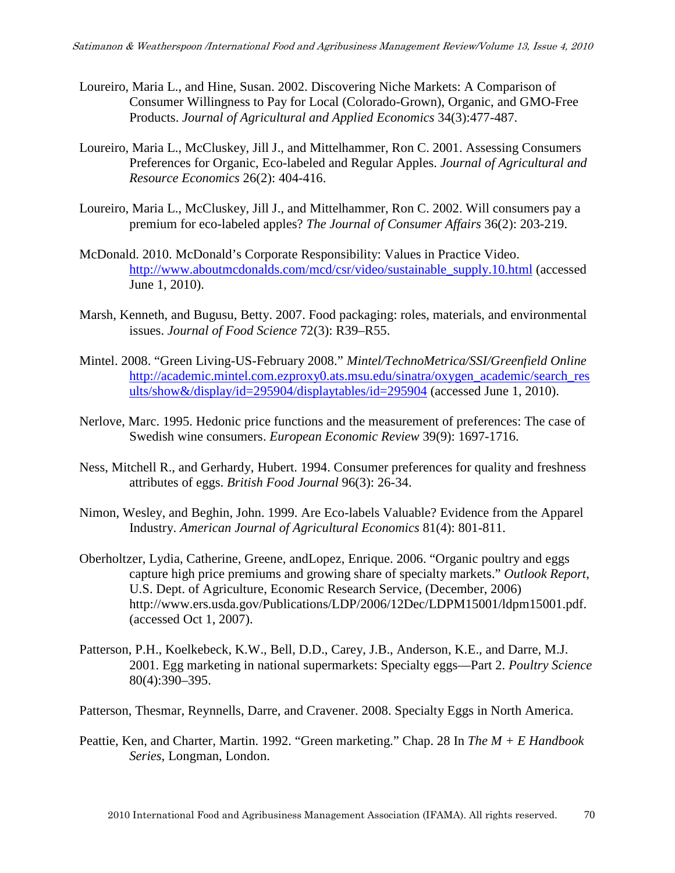- Loureiro, Maria L., and Hine, Susan. 2002. Discovering Niche Markets: A Comparison of Consumer Willingness to Pay for Local (Colorado-Grown), Organic, and GMO-Free Products. *Journal of Agricultural and Applied Economics* 34(3):477-487.
- Loureiro, Maria L., McCluskey, Jill J., and Mittelhammer, Ron C. 2001. Assessing Consumers Preferences for Organic, Eco-labeled and Regular Apples. *Journal of Agricultural and Resource Economics* 26(2): 404-416.
- Loureiro, Maria L., McCluskey, Jill J., and Mittelhammer, Ron C. 2002. Will consumers pay a premium for eco-labeled apples? *The Journal of Consumer Affairs* 36(2): 203-219.
- McDonald. 2010. McDonald's Corporate Responsibility: Values in Practice Video. http://www.aboutmcdonalds.com/mcd/csr/video/sustainable\_supply.10.html (accessed June 1, 2010).
- Marsh, Kenneth, and Bugusu, Betty. 2007. Food packaging: roles, materials, and environmental issues. *Journal of Food Science* 72(3): R39–R55.
- Mintel. 2008. "Green Living-US-February 2008." *Mintel/TechnoMetrica/SSI/Greenfield Online* http://academic.mintel.com.ezproxy0.ats.msu.edu/sinatra/oxygen\_academic/search\_res ults/show&/display/id=295904/displaytables/id=295904 (accessed June 1, 2010).
- Nerlove, Marc. 1995. Hedonic price functions and the measurement of preferences: The case of Swedish wine consumers. *European Economic Review* 39(9): 1697-1716.
- Ness, Mitchell R., and Gerhardy, Hubert. 1994. Consumer preferences for quality and freshness attributes of eggs. *British Food Journal* 96(3): 26-34.
- Nimon, Wesley, and Beghin, John. 1999. Are Eco-labels Valuable? Evidence from the Apparel Industry. *American Journal of Agricultural Economics* 81(4): 801-811.
- Oberholtzer, Lydia, Catherine, Greene, andLopez, Enrique. 2006. "Organic poultry and eggs capture high price premiums and growing share of specialty markets." *Outlook Report*, U.S. Dept. of Agriculture, Economic Research Service, (December, 2006) http://www.ers.usda.gov/Publications/LDP/2006/12Dec/LDPM15001/ldpm15001.pdf. (accessed Oct 1, 2007).
- Patterson, P.H., Koelkebeck, K.W., Bell, D.D., Carey, J.B., Anderson, K.E., and Darre, M.J. 2001. Egg marketing in national supermarkets: Specialty eggs—Part 2. *Poultry Science* 80(4):390–395.

Patterson, Thesmar, Reynnells, Darre, and Cravener. 2008. Specialty Eggs in North America.

Peattie, Ken, and Charter, Martin. 1992. "Green marketing." Chap. 28 In *The M + E Handbook Series*, Longman, London.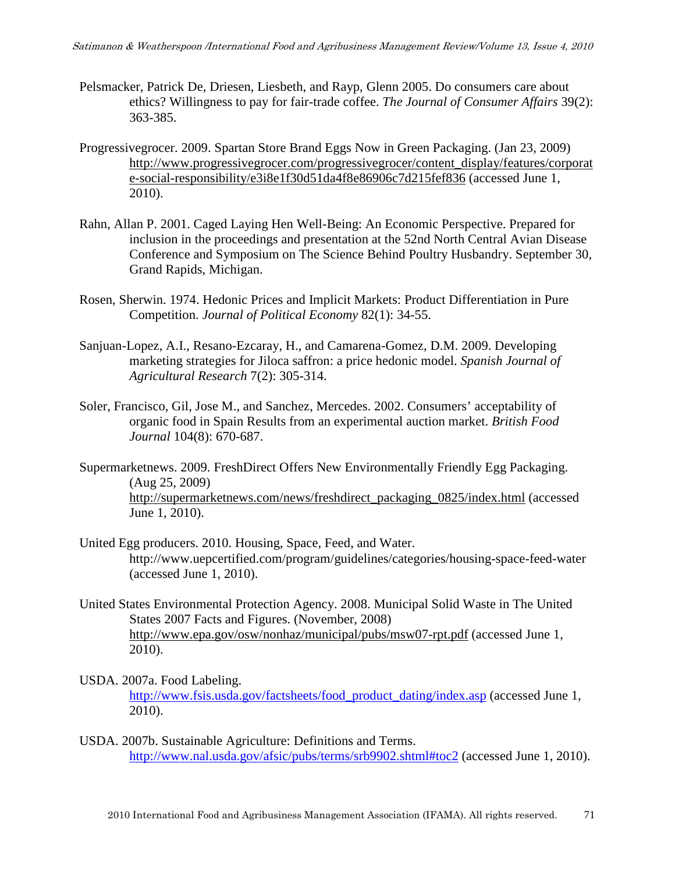- Pelsmacker, Patrick De, Driesen, Liesbeth, and Rayp, Glenn 2005. Do consumers care about ethics? Willingness to pay for fair-trade coffee. *The Journal of Consumer Affairs* 39(2): 363-385.
- Progressivegrocer. 2009. Spartan Store Brand Eggs Now in Green Packaging. (Jan 23, 2009) http://www.progressivegrocer.com/progressivegrocer/content\_display/features/corporat e-social-responsibility/e3i8e1f30d51da4f8e86906c7d215fef836 (accessed June 1, 2010).
- Rahn, Allan P. 2001. Caged Laying Hen Well-Being: An Economic Perspective. Prepared for inclusion in the proceedings and presentation at the 52nd North Central Avian Disease Conference and Symposium on The Science Behind Poultry Husbandry. September 30, Grand Rapids, Michigan.
- Rosen, Sherwin. 1974. Hedonic Prices and Implicit Markets: Product Differentiation in Pure Competition. *Journal of Political Economy* 82(1): 34-55.
- Sanjuan-Lopez, A.I., Resano-Ezcaray, H., and Camarena-Gomez, D.M. 2009. Developing marketing strategies for Jiloca saffron: a price hedonic model. *Spanish Journal of Agricultural Research* 7(2): 305-314.
- Soler, Francisco, Gil, Jose M., and Sanchez, Mercedes. 2002. Consumers' acceptability of organic food in Spain Results from an experimental auction market. *British Food Journal* 104(8): 670-687.
- Supermarketnews. 2009. FreshDirect Offers New Environmentally Friendly Egg Packaging. (Aug 25, 2009) http://supermarketnews.com/news/freshdirect\_packaging\_0825/index.html (accessed June 1, 2010).
- United Egg producers. 2010. Housing, Space, Feed, and Water. http://www.uepcertified.com/program/guidelines/categories/housing-space-feed-water (accessed June 1, 2010).
- United States Environmental Protection Agency. 2008. Municipal Solid Waste in The United States 2007 Facts and Figures. (November, 2008) http://www.epa.gov/osw/nonhaz/municipal/pubs/msw07-rpt.pdf (accessed June 1, 2010).
- USDA. 2007a. Food Labeling. http://www.fsis.usda.gov/factsheets/food\_product\_dating/index.asp (accessed June 1, 2010).
- USDA. 2007b. Sustainable Agriculture: Definitions and Terms. http://www.nal.usda.gov/afsic/pubs/terms/srb9902.shtml#toc2 (accessed June 1, 2010).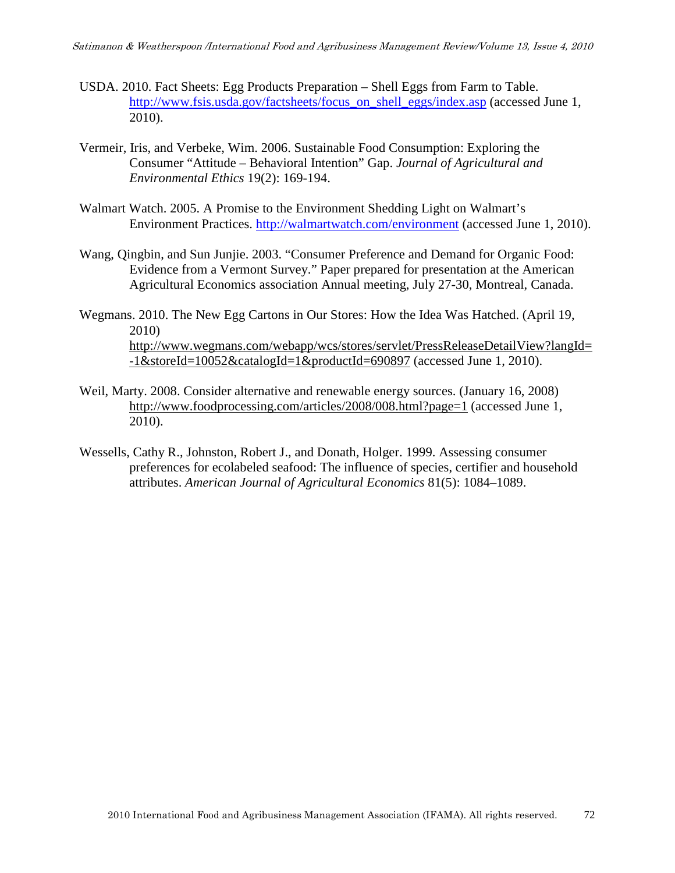- USDA. 2010. Fact Sheets: Egg Products Preparation Shell Eggs from Farm to Table. http://www.fsis.usda.gov/factsheets/focus\_on\_shell\_eggs/index.asp (accessed June 1, 2010).
- Vermeir, Iris, and Verbeke, Wim. 2006. Sustainable Food Consumption: Exploring the Consumer "Attitude – Behavioral Intention" Gap. *Journal of Agricultural and Environmental Ethics* 19(2): 169-194.
- Walmart Watch. 2005. A Promise to the Environment Shedding Light on Walmart's Environment Practices. http://walmartwatch.com/environment (accessed June 1, 2010).
- Wang, Qingbin, and Sun Junjie. 2003. "Consumer Preference and Demand for Organic Food: Evidence from a Vermont Survey." Paper prepared for presentation at the American Agricultural Economics association Annual meeting, July 27-30, Montreal, Canada.
- Wegmans. 2010. The New Egg Cartons in Our Stores: How the Idea Was Hatched. (April 19, 2010) http://www.wegmans.com/webapp/wcs/stores/servlet/PressReleaseDetailView?langId= -1&storeId=10052&catalogId=1&productId=690897 (accessed June 1, 2010).
- Weil, Marty. 2008. Consider alternative and renewable energy sources. (January 16, 2008) http://www.foodprocessing.com/articles/2008/008.html?page=1 (accessed June 1, 2010).
- Wessells, Cathy R., Johnston, Robert J., and Donath, Holger. 1999. Assessing consumer preferences for ecolabeled seafood: The influence of species, certifier and household attributes. *American Journal of Agricultural Economics* 81(5): 1084–1089.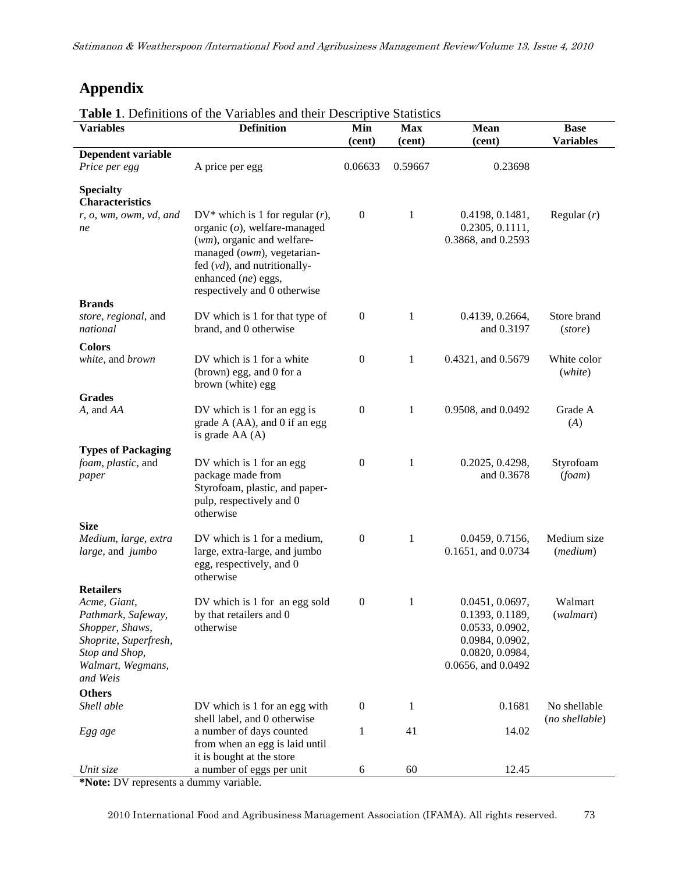# **Appendix**

| <b>Table 1.</b> Definitions of the Variables and their Descriptive Statistics |  |  |
|-------------------------------------------------------------------------------|--|--|
|-------------------------------------------------------------------------------|--|--|

| <b>Variables</b>                                                                                                                  | <b>Lable 1.</b> Definitions of the variables and their Descriptive Statistics<br><b>Definition</b>                                                                                                                                | Min<br>(cent)    | <b>Max</b><br>(cent) | <b>Mean</b><br>(cent)                                                                                             | <b>Base</b><br><b>Variables</b> |
|-----------------------------------------------------------------------------------------------------------------------------------|-----------------------------------------------------------------------------------------------------------------------------------------------------------------------------------------------------------------------------------|------------------|----------------------|-------------------------------------------------------------------------------------------------------------------|---------------------------------|
| Dependent variable                                                                                                                |                                                                                                                                                                                                                                   |                  |                      |                                                                                                                   |                                 |
| Price per egg                                                                                                                     | A price per egg                                                                                                                                                                                                                   | 0.06633          | 0.59667              | 0.23698                                                                                                           |                                 |
| <b>Specialty</b><br><b>Characteristics</b>                                                                                        |                                                                                                                                                                                                                                   |                  |                      |                                                                                                                   |                                 |
| r, o, wm, owm, vd, and<br>ne                                                                                                      | $DV^*$ which is 1 for regular $(r)$ ,<br>organic $(o)$ , welfare-managed<br>$(wm)$ , organic and welfare-<br>managed (owm), vegetarian-<br>fed $(vd)$ , and nutritionally-<br>enhanced (ne) eggs,<br>respectively and 0 otherwise | $\boldsymbol{0}$ | 1                    | 0.4198, 0.1481,<br>0.2305, 0.1111,<br>0.3868, and 0.2593                                                          | Regular $(r)$                   |
| <b>Brands</b>                                                                                                                     |                                                                                                                                                                                                                                   |                  |                      |                                                                                                                   |                                 |
| store, regional, and<br>national                                                                                                  | DV which is 1 for that type of<br>brand, and 0 otherwise                                                                                                                                                                          | $\boldsymbol{0}$ | 1                    | 0.4139, 0.2664,<br>and 0.3197                                                                                     | Store brand<br>(store)          |
| <b>Colors</b>                                                                                                                     |                                                                                                                                                                                                                                   |                  |                      |                                                                                                                   |                                 |
| white, and brown                                                                                                                  | DV which is 1 for a white<br>(brown) egg, and 0 for a<br>brown (white) egg                                                                                                                                                        | $\boldsymbol{0}$ | 1                    | 0.4321, and 0.5679                                                                                                | White color<br>(white)          |
| <b>Grades</b>                                                                                                                     |                                                                                                                                                                                                                                   |                  |                      |                                                                                                                   |                                 |
| A, and AA                                                                                                                         | DV which is 1 for an egg is<br>grade A (AA), and 0 if an egg<br>is grade $AA(A)$                                                                                                                                                  | $\boldsymbol{0}$ | 1                    | 0.9508, and 0.0492                                                                                                | Grade A<br>(A)                  |
| <b>Types of Packaging</b>                                                                                                         |                                                                                                                                                                                                                                   |                  |                      |                                                                                                                   |                                 |
| foam, plastic, and<br>paper                                                                                                       | DV which is 1 for an egg<br>package made from<br>Styrofoam, plastic, and paper-<br>pulp, respectively and 0<br>otherwise                                                                                                          | $\boldsymbol{0}$ | 1                    | 0.2025, 0.4298,<br>and 0.3678                                                                                     | Styrofoam<br>(fcam)             |
| <b>Size</b>                                                                                                                       |                                                                                                                                                                                                                                   |                  |                      |                                                                                                                   |                                 |
| Medium, large, extra<br>large, and jumbo                                                                                          | DV which is 1 for a medium,<br>large, extra-large, and jumbo<br>egg, respectively, and 0<br>otherwise                                                                                                                             | $\boldsymbol{0}$ | 1                    | 0.0459, 0.7156,<br>0.1651, and 0.0734                                                                             | Medium size<br>(medium)         |
| <b>Retailers</b>                                                                                                                  |                                                                                                                                                                                                                                   |                  |                      |                                                                                                                   |                                 |
| Acme, Giant,<br>Pathmark, Safeway,<br>Shopper, Shaws,<br>Shoprite, Superfresh,<br>Stop and Shop,<br>Walmart, Wegmans,<br>and Weis | DV which is 1 for an egg sold<br>by that retailers and 0<br>otherwise                                                                                                                                                             | $\boldsymbol{0}$ | 1                    | 0.0451, 0.0697,<br>0.1393, 0.1189,<br>0.0533, 0.0902,<br>0.0984, 0.0902,<br>0.0820, 0.0984,<br>0.0656, and 0.0492 | Walmart<br>(walmart)            |
| <b>Others</b>                                                                                                                     |                                                                                                                                                                                                                                   |                  |                      |                                                                                                                   |                                 |
| Shell able                                                                                                                        | DV which is 1 for an egg with<br>shell label, and 0 otherwise                                                                                                                                                                     | $\boldsymbol{0}$ | 1                    | 0.1681                                                                                                            | No shellable<br>(no shellable)  |
| Egg age                                                                                                                           | a number of days counted<br>from when an egg is laid until<br>it is bought at the store                                                                                                                                           | 1                | 41                   | 14.02                                                                                                             |                                 |
| Unit size                                                                                                                         | a number of eggs per unit                                                                                                                                                                                                         | 6                | 60                   | 12.45                                                                                                             |                                 |

**\*Note:** DV represents a dummy variable.